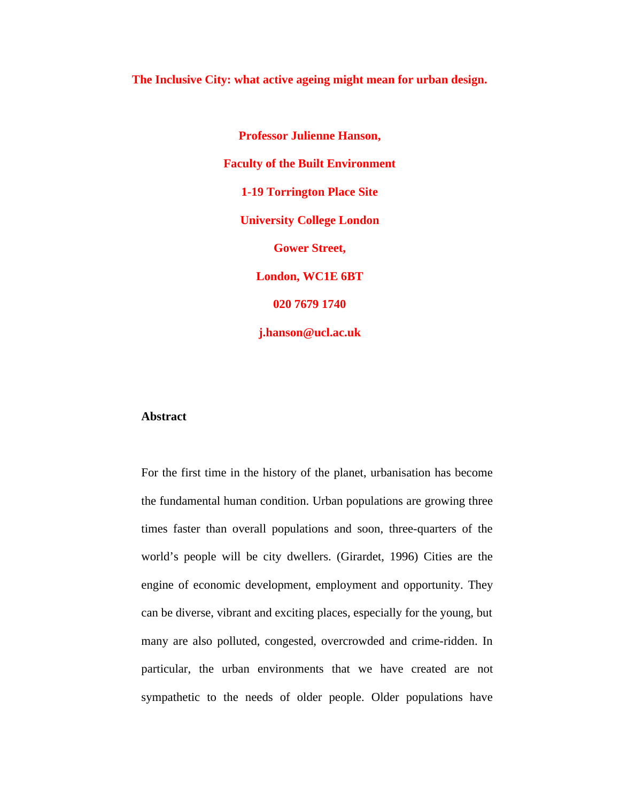**The Inclusive City: what active ageing might mean for urban design.**

**Professor Julienne Hanson, Faculty of the Built Environment 1-19 Torrington Place Site University College London Gower Street, London, WC1E 6BT 020 7679 1740 j.hanson@ucl.ac.uk**

## **Abstract**

For the first time in the history of the planet, urbanisation has become the fundamental human condition. Urban populations are growing three times faster than overall populations and soon, three-quarters of the world's people will be city dwellers. (Girardet, 1996) Cities are the engine of economic development, employment and opportunity. They can be diverse, vibrant and exciting places, especially for the young, but many are also polluted, congested, overcrowded and crime-ridden. In particular, the urban environments that we have created are not sympathetic to the needs of older people. Older populations have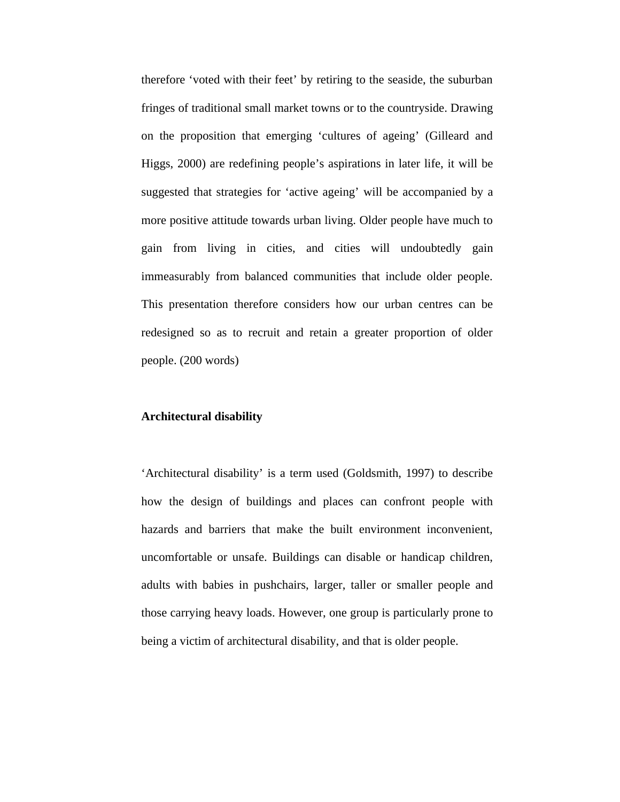therefore 'voted with their feet' by retiring to the seaside, the suburban fringes of traditional small market towns or to the countryside. Drawing on the proposition that emerging 'cultures of ageing' (Gilleard and Higgs, 2000) are redefining people's aspirations in later life, it will be suggested that strategies for 'active ageing' will be accompanied by a more positive attitude towards urban living. Older people have much to gain from living in cities, and cities will undoubtedly gain immeasurably from balanced communities that include older people. This presentation therefore considers how our urban centres can be redesigned so as to recruit and retain a greater proportion of older people. (200 words)

## **Architectural disability**

'Architectural disability' is a term used (Goldsmith, 1997) to describe how the design of buildings and places can confront people with hazards and barriers that make the built environment inconvenient, uncomfortable or unsafe. Buildings can disable or handicap children, adults with babies in pushchairs, larger, taller or smaller people and those carrying heavy loads. However, one group is particularly prone to being a victim of architectural disability, and that is older people.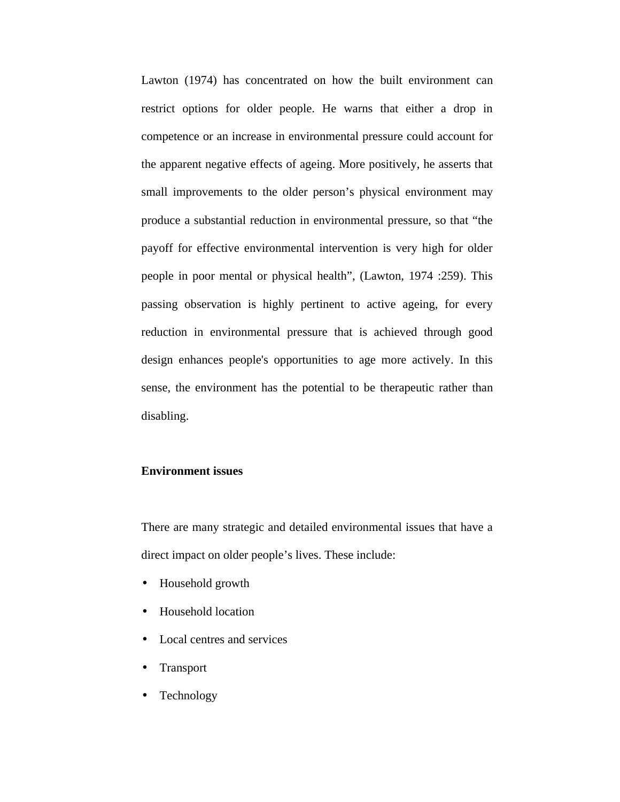Lawton (1974) has concentrated on how the built environment can restrict options for older people. He warns that either a drop in competence or an increase in environmental pressure could account for the apparent negative effects of ageing. More positively, he asserts that small improvements to the older person's physical environment may produce a substantial reduction in environmental pressure, so that "the payoff for effective environmental intervention is very high for older people in poor mental or physical health", (Lawton, 1974 :259). This passing observation is highly pertinent to active ageing, for every reduction in environmental pressure that is achieved through good design enhances people's opportunities to age more actively. In this sense, the environment has the potential to be therapeutic rather than disabling.

# **Environment issues**

There are many strategic and detailed environmental issues that have a direct impact on older people's lives. These include:

- Household growth
- Household location
- Local centres and services
- Transport
- Technology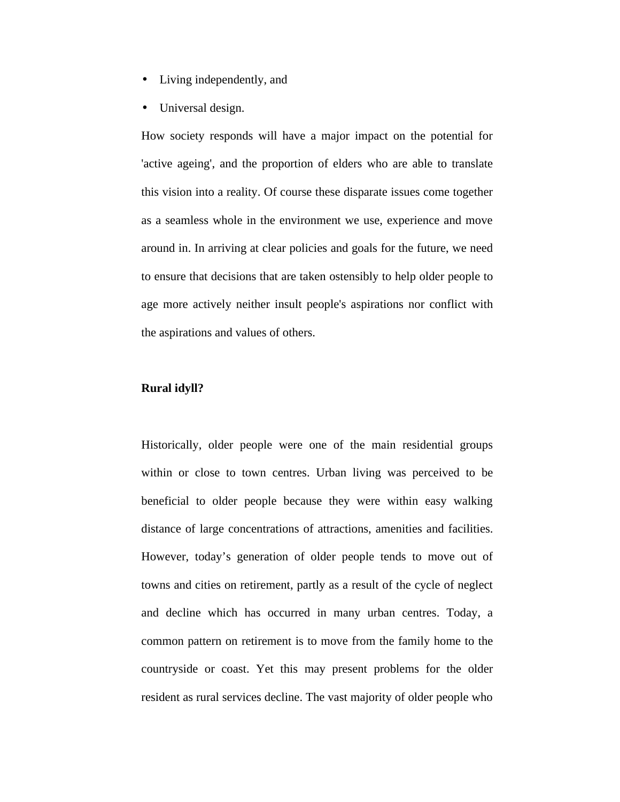- Living independently, and
- Universal design.

How society responds will have a major impact on the potential for 'active ageing', and the proportion of elders who are able to translate this vision into a reality. Of course these disparate issues come together as a seamless whole in the environment we use, experience and move around in. In arriving at clear policies and goals for the future, we need to ensure that decisions that are taken ostensibly to help older people to age more actively neither insult people's aspirations nor conflict with the aspirations and values of others.

# **Rural idyll?**

Historically, older people were one of the main residential groups within or close to town centres. Urban living was perceived to be beneficial to older people because they were within easy walking distance of large concentrations of attractions, amenities and facilities. However, today's generation of older people tends to move out of towns and cities on retirement, partly as a result of the cycle of neglect and decline which has occurred in many urban centres. Today, a common pattern on retirement is to move from the family home to the countryside or coast. Yet this may present problems for the older resident as rural services decline. The vast majority of older people who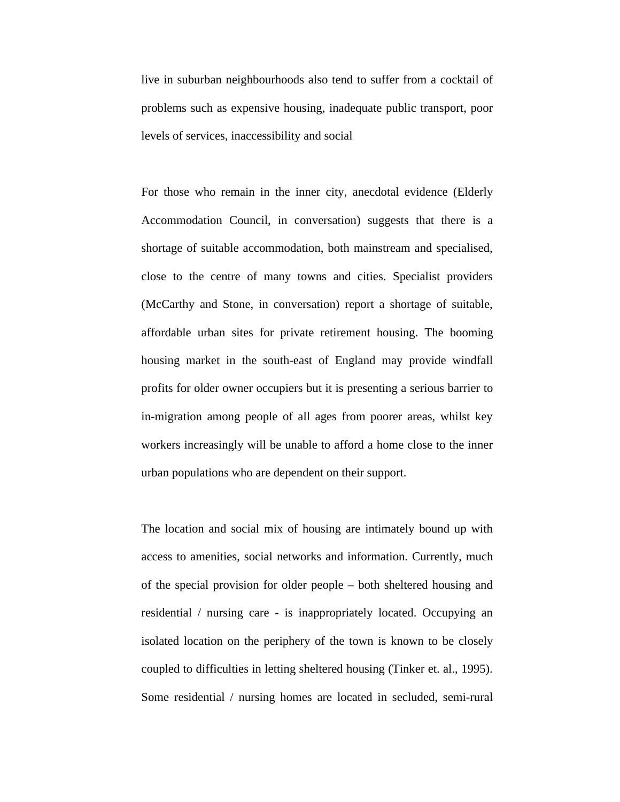live in suburban neighbourhoods also tend to suffer from a cocktail of problems such as expensive housing, inadequate public transport, poor levels of services, inaccessibility and social

For those who remain in the inner city, anecdotal evidence (Elderly Accommodation Council, in conversation) suggests that there is a shortage of suitable accommodation, both mainstream and specialised, close to the centre of many towns and cities. Specialist providers (McCarthy and Stone, in conversation) report a shortage of suitable, affordable urban sites for private retirement housing. The booming housing market in the south-east of England may provide windfall profits for older owner occupiers but it is presenting a serious barrier to in-migration among people of all ages from poorer areas, whilst key workers increasingly will be unable to afford a home close to the inner urban populations who are dependent on their support.

The location and social mix of housing are intimately bound up with access to amenities, social networks and information. Currently, much of the special provision for older people – both sheltered housing and residential / nursing care - is inappropriately located. Occupying an isolated location on the periphery of the town is known to be closely coupled to difficulties in letting sheltered housing (Tinker et. al., 1995). Some residential / nursing homes are located in secluded, semi-rural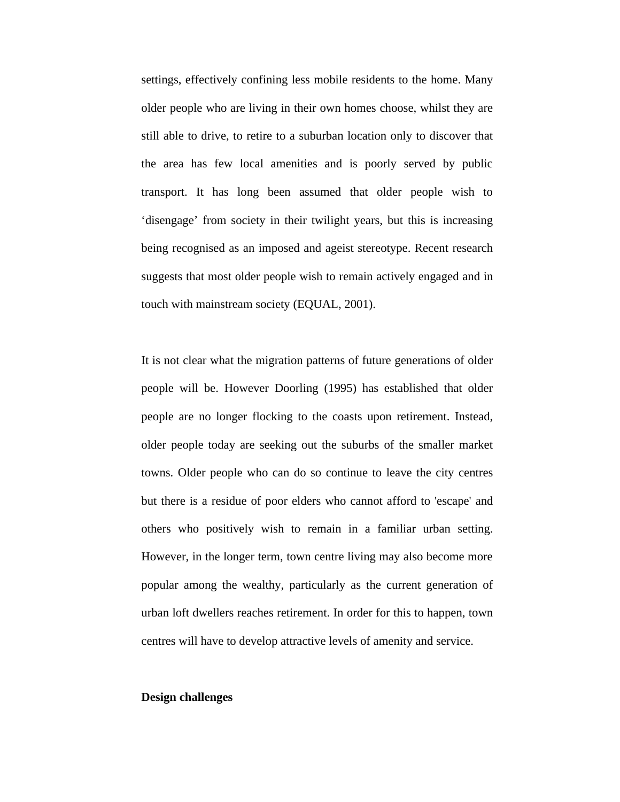settings, effectively confining less mobile residents to the home. Many older people who are living in their own homes choose, whilst they are still able to drive, to retire to a suburban location only to discover that the area has few local amenities and is poorly served by public transport. It has long been assumed that older people wish to 'disengage' from society in their twilight years, but this is increasing being recognised as an imposed and ageist stereotype. Recent research suggests that most older people wish to remain actively engaged and in touch with mainstream society (EQUAL, 2001).

It is not clear what the migration patterns of future generations of older people will be. However Doorling (1995) has established that older people are no longer flocking to the coasts upon retirement. Instead, older people today are seeking out the suburbs of the smaller market towns. Older people who can do so continue to leave the city centres but there is a residue of poor elders who cannot afford to 'escape' and others who positively wish to remain in a familiar urban setting. However, in the longer term, town centre living may also become more popular among the wealthy, particularly as the current generation of urban loft dwellers reaches retirement. In order for this to happen, town centres will have to develop attractive levels of amenity and service.

## **Design challenges**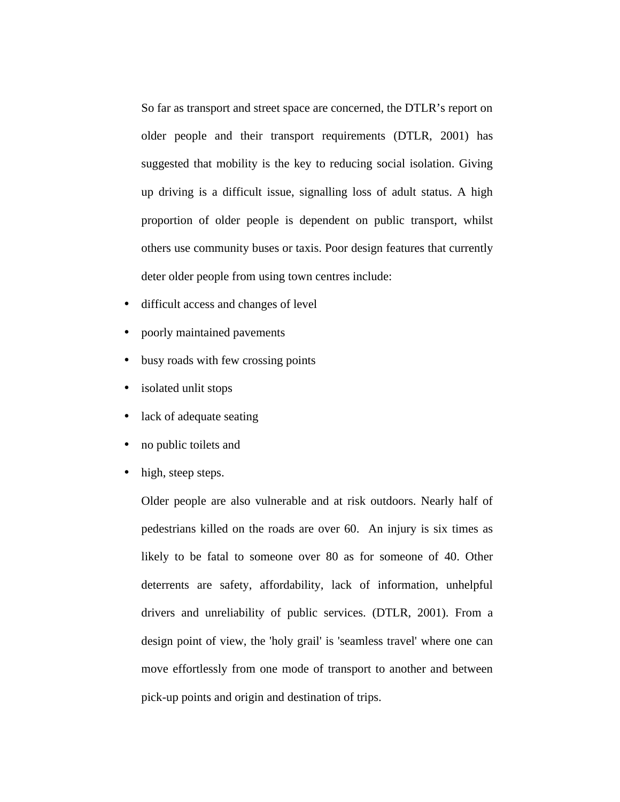So far as transport and street space are concerned, the DTLR's report on older people and their transport requirements (DTLR, 2001) has suggested that mobility is the key to reducing social isolation. Giving up driving is a difficult issue, signalling loss of adult status. A high proportion of older people is dependent on public transport, whilst others use community buses or taxis. Poor design features that currently deter older people from using town centres include:

- difficult access and changes of level
- poorly maintained pavements
- busy roads with few crossing points
- isolated unlit stops
- lack of adequate seating
- no public toilets and
- high, steep steps.

Older people are also vulnerable and at risk outdoors. Nearly half of pedestrians killed on the roads are over 60. An injury is six times as likely to be fatal to someone over 80 as for someone of 40. Other deterrents are safety, affordability, lack of information, unhelpful drivers and unreliability of public services. (DTLR, 2001). From a design point of view, the 'holy grail' is 'seamless travel' where one can move effortlessly from one mode of transport to another and between pick-up points and origin and destination of trips.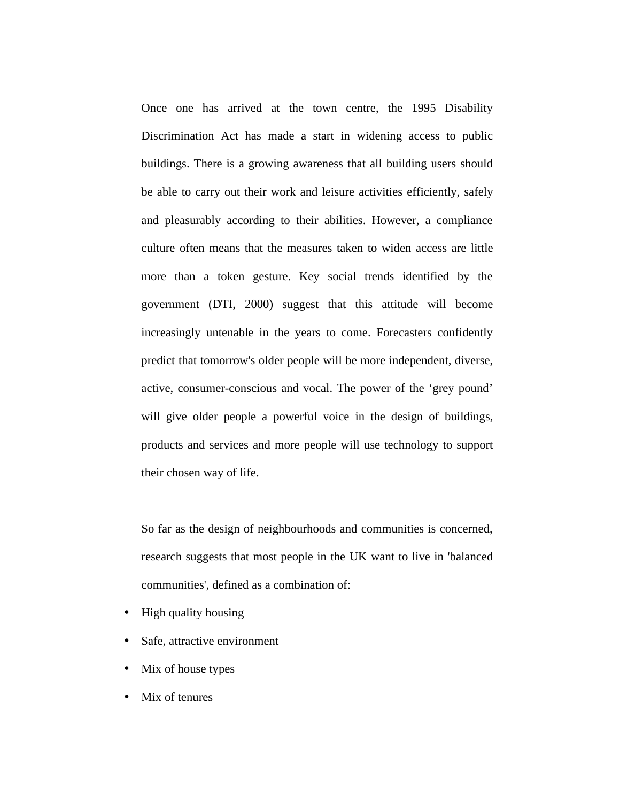Once one has arrived at the town centre, the 1995 Disability Discrimination Act has made a start in widening access to public buildings. There is a growing awareness that all building users should be able to carry out their work and leisure activities efficiently, safely and pleasurably according to their abilities. However, a compliance culture often means that the measures taken to widen access are little more than a token gesture. Key social trends identified by the government (DTI, 2000) suggest that this attitude will become increasingly untenable in the years to come. Forecasters confidently predict that tomorrow's older people will be more independent, diverse, active, consumer-conscious and vocal. The power of the 'grey pound' will give older people a powerful voice in the design of buildings, products and services and more people will use technology to support their chosen way of life.

So far as the design of neighbourhoods and communities is concerned, research suggests that most people in the UK want to live in 'balanced communities', defined as a combination of:

- High quality housing
- Safe, attractive environment
- Mix of house types
- Mix of tenures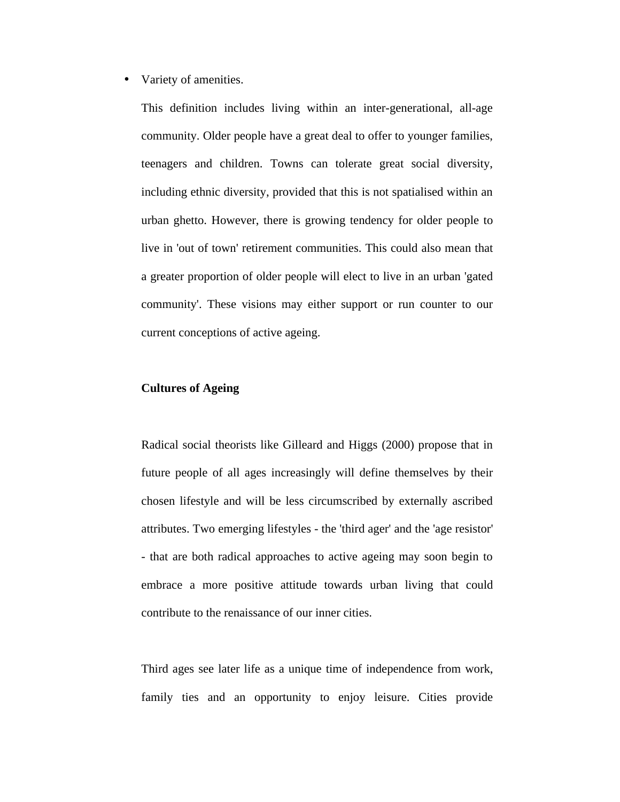• Variety of amenities.

This definition includes living within an inter-generational, all-age community. Older people have a great deal to offer to younger families, teenagers and children. Towns can tolerate great social diversity, including ethnic diversity, provided that this is not spatialised within an urban ghetto. However, there is growing tendency for older people to live in 'out of town' retirement communities. This could also mean that a greater proportion of older people will elect to live in an urban 'gated community'. These visions may either support or run counter to our current conceptions of active ageing.

## **Cultures of Ageing**

Radical social theorists like Gilleard and Higgs (2000) propose that in future people of all ages increasingly will define themselves by their chosen lifestyle and will be less circumscribed by externally ascribed attributes. Two emerging lifestyles - the 'third ager' and the 'age resistor' - that are both radical approaches to active ageing may soon begin to embrace a more positive attitude towards urban living that could contribute to the renaissance of our inner cities.

Third ages see later life as a unique time of independence from work, family ties and an opportunity to enjoy leisure. Cities provide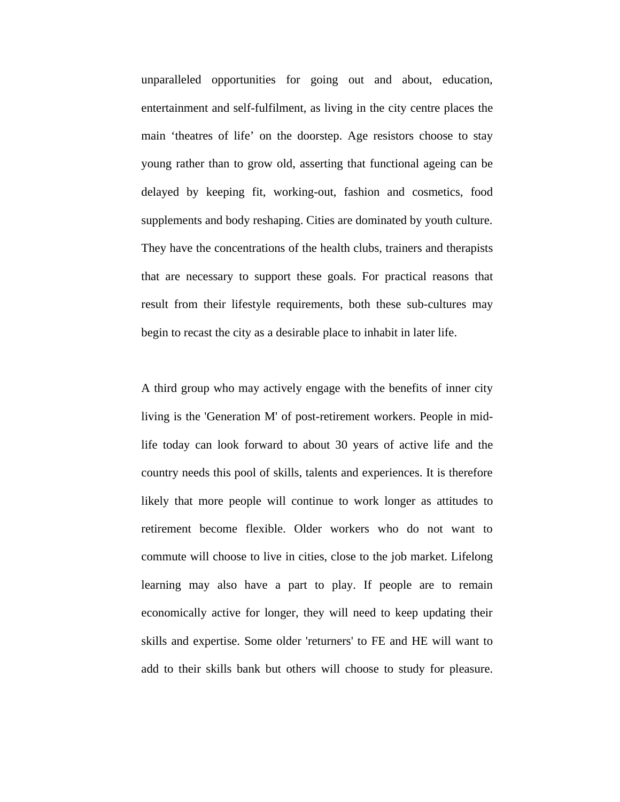unparalleled opportunities for going out and about, education, entertainment and self-fulfilment, as living in the city centre places the main 'theatres of life' on the doorstep. Age resistors choose to stay young rather than to grow old, asserting that functional ageing can be delayed by keeping fit, working-out, fashion and cosmetics, food supplements and body reshaping. Cities are dominated by youth culture. They have the concentrations of the health clubs, trainers and therapists that are necessary to support these goals. For practical reasons that result from their lifestyle requirements, both these sub-cultures may begin to recast the city as a desirable place to inhabit in later life.

A third group who may actively engage with the benefits of inner city living is the 'Generation M' of post-retirement workers. People in midlife today can look forward to about 30 years of active life and the country needs this pool of skills, talents and experiences. It is therefore likely that more people will continue to work longer as attitudes to retirement become flexible. Older workers who do not want to commute will choose to live in cities, close to the job market. Lifelong learning may also have a part to play. If people are to remain economically active for longer, they will need to keep updating their skills and expertise. Some older 'returners' to FE and HE will want to add to their skills bank but others will choose to study for pleasure.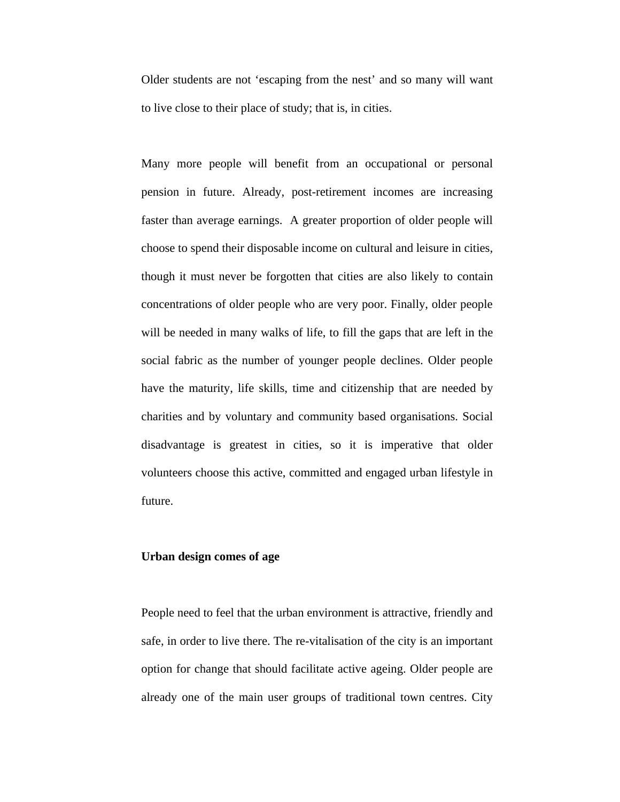Older students are not 'escaping from the nest' and so many will want to live close to their place of study; that is, in cities.

Many more people will benefit from an occupational or personal pension in future. Already, post-retirement incomes are increasing faster than average earnings. A greater proportion of older people will choose to spend their disposable income on cultural and leisure in cities, though it must never be forgotten that cities are also likely to contain concentrations of older people who are very poor. Finally, older people will be needed in many walks of life, to fill the gaps that are left in the social fabric as the number of younger people declines. Older people have the maturity, life skills, time and citizenship that are needed by charities and by voluntary and community based organisations. Social disadvantage is greatest in cities, so it is imperative that older volunteers choose this active, committed and engaged urban lifestyle in future.

# **Urban design comes of age**

People need to feel that the urban environment is attractive, friendly and safe, in order to live there. The re-vitalisation of the city is an important option for change that should facilitate active ageing. Older people are already one of the main user groups of traditional town centres. City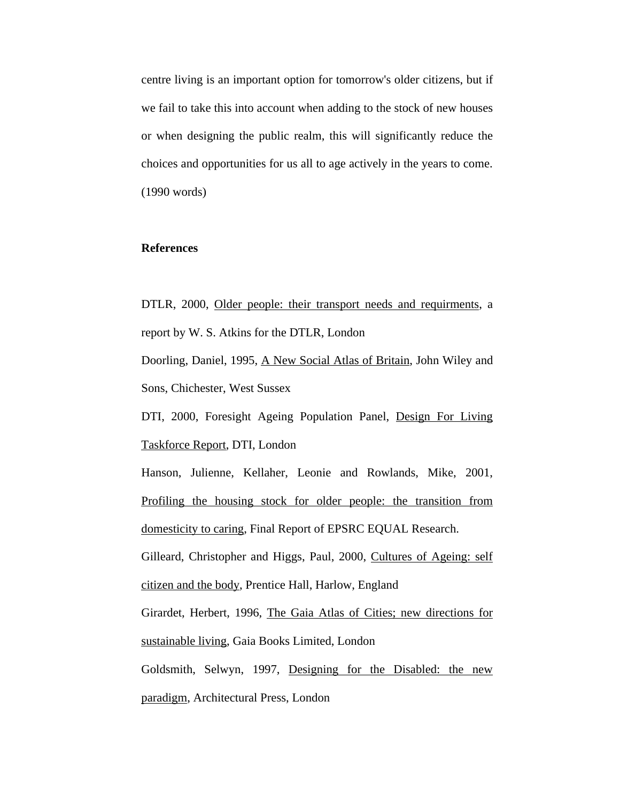centre living is an important option for tomorrow's older citizens, but if we fail to take this into account when adding to the stock of new houses or when designing the public realm, this will significantly reduce the choices and opportunities for us all to age actively in the years to come. (1990 words)

# **References**

DTLR, 2000, Older people: their transport needs and requirments, a report by W. S. Atkins for the DTLR, London

Doorling, Daniel, 1995, A New Social Atlas of Britain, John Wiley and Sons, Chichester, West Sussex

DTI, 2000, Foresight Ageing Population Panel, Design For Living Taskforce Report, DTI, London

Hanson, Julienne, Kellaher, Leonie and Rowlands, Mike, 2001, Profiling the housing stock for older people: the transition from domesticity to caring, Final Report of EPSRC EQUAL Research. Gilleard, Christopher and Higgs, Paul, 2000, Cultures of Ageing: self citizen and the body, Prentice Hall, Harlow, England Girardet, Herbert, 1996, The Gaia Atlas of Cities; new directions for

sustainable living, Gaia Books Limited, London

Goldsmith, Selwyn, 1997, Designing for the Disabled: the new paradigm, Architectural Press, London